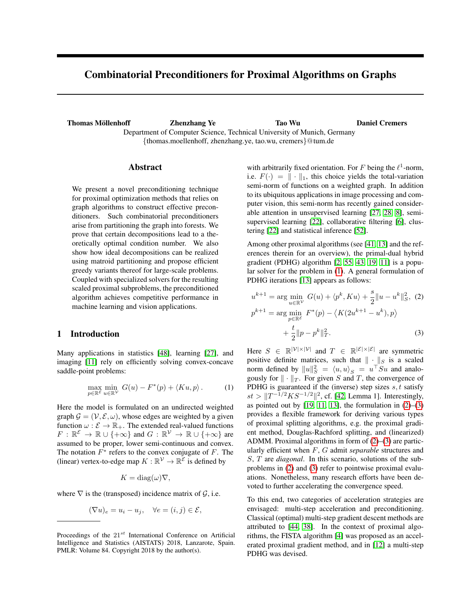# Combinatorial Preconditioners for Proximal Algorithms on Graphs

Thomas Möllenhoff Thomas Möllenhoff Thomas Möllenhoff Thomas **Zhenzhang Ye** Tao Wu Daniel Cremers Department of Computer Science, Technical University of Munich, Germany {thomas.moellenhoff, zhenzhang.ye, tao.wu, cremers}@tum.de

# Abstract

We present a novel preconditioning technique for proximal optimization methods that relies on graph algorithms to construct effective preconditioners. Such combinatorial preconditioners arise from partitioning the graph into forests. We prove that certain decompositions lead to a theoretically optimal condition number. We also show how ideal decompositions can be realized using matroid partitioning and propose efficient greedy variants thereof for large-scale problems. Coupled with specialized solvers for the resulting scaled proximal subproblems, the preconditioned algorithm achieves competitive performance in machine learning and vision applications.

# 1 Introduction

Many applications in statistics [\[48\]](#page-9-0), learning [\[27\]](#page-8-0), and imaging [\[11\]](#page-8-1) rely on efficiently solving convex-concave saddle-point problems:

$$
\max_{p \in \mathbb{R}^{\mathcal{E}}} \min_{u \in \mathbb{R}^{\mathcal{V}}} G(u) - F^*(p) + \langle Ku, p \rangle.
$$
 (1)

Here the model is formulated on an undirected weighted graph  $\mathcal{G} = (\mathcal{V}, \mathcal{E}, \omega)$ , whose edges are weighted by a given function  $\omega : \mathcal{E} \to \mathbb{R}_+$ . The extended real-valued functions  $F: \mathbb{R}^{\mathcal{E}} \to \mathbb{R} \cup \{+\infty\}$  and  $G: \mathbb{R}^{\mathcal{V}} \to \mathbb{R} \cup \{+\infty\}$  are assumed to be proper, lower semi-continuous and convex. The notation  $F^*$  refers to the convex conjugate of  $F$ . The (linear) vertex-to-edge map  $K : \mathbb{R}^{\mathcal{V}} \to \mathbb{R}^{\mathcal{E}}$  is defined by

<span id="page-0-1"></span>
$$
K = \text{diag}(\omega)\nabla,
$$

where  $\nabla$  is the (transposed) incidence matrix of  $\mathcal{G}$ , i.e.

$$
(\nabla u)_e = u_i - u_j, \quad \forall e = (i, j) \in \mathcal{E},
$$

with arbitrarily fixed orientation. For F being the  $\ell^1$ -norm, i.e.  $F(\cdot) = || \cdot ||_1$ , this choice yields the total-variation semi-norm of functions on a weighted graph. In addition to its ubiquitous applications in image processing and computer vision, this semi-norm has recently gained considerable attention in unsupervised learning [\[27,](#page-8-0) [28,](#page-8-2) [8\]](#page-8-3), semisupervised learning [\[22\]](#page-8-4), collaborative filtering [\[6\]](#page-8-5), clustering [\[22\]](#page-8-4) and statistical inference [\[52\]](#page-9-1).

Among other proximal algorithms (see [\[41,](#page-9-2) [13\]](#page-8-6) and the references therein for an overview), the primal-dual hybrid gradient (PDHG) algorithm [\[2,](#page-8-7) [55,](#page-9-3) [43,](#page-9-4) [19,](#page-8-8) [11\]](#page-8-1) is a popular solver for the problem in [\(1\)](#page-0-0). A general formulation of PDHG iterations [\[13\]](#page-8-6) appears as follows:

<span id="page-0-2"></span>
$$
u^{k+1} = \arg\min_{u \in \mathbb{R}^V} G(u) + \langle p^k, Ku \rangle + \frac{s}{2} ||u - u^k||_S^2, (2)
$$
  

$$
p^{k+1} = \arg\min_{p \in \mathbb{R}^\mathcal{E}} F^*(p) - \langle K(2u^{k+1} - u^k), p \rangle
$$
  

$$
+ \frac{t}{2} ||p - p^k||_T^2.
$$
 (3)

<span id="page-0-0"></span>Here  $S \in \mathbb{R}^{|\mathcal{V}| \times |\mathcal{V}|}$  and  $T \in \mathbb{R}^{|\mathcal{E}| \times |\mathcal{E}|}$  are symmetric positive definite matrices, such that  $\|\cdot\|_S$  is a scaled norm defined by  $||u||_S^2 = \langle u, u \rangle_S = u^\top S u$  and analogously for  $\|\cdot\|_T$ . For given S and T, the convergence of PDHG is guaranteed if the (inverse) step sizes  $s, t$  satisfy  $st > ||T^{-1/2}KS^{-1/2}||^2$ , cf. [\[42,](#page-9-5) Lemma 1]. Interestingly, as pointed out by  $[19, 11, 13]$  $[19, 11, 13]$  $[19, 11, 13]$ , the formulation in  $(2)$ – $(3)$ provides a flexible framework for deriving various types of proximal splitting algorithms, e.g. the proximal gradient method, Douglas-Rachford splitting, and (linearized) ADMM. Proximal algorithms in form of [\(2\)](#page-0-1)–[\(3\)](#page-0-2) are particularly efficient when F, G admit *separable* structures and S, T are *diagonal*. In this scenario, solutions of the subproblems in [\(2\)](#page-0-1) and [\(3\)](#page-0-2) refer to pointwise proximal evaluations. Nonetheless, many research efforts have been devoted to further accelerating the convergence speed.

To this end, two categories of acceleration strategies are envisaged: multi-step acceleration and preconditioning. Classical (optimal) multi-step gradient descent methods are attributed to [\[44,](#page-9-6) [38\]](#page-9-7). In the context of proximal algorithms, the FISTA algorithm [\[4\]](#page-8-9) was proposed as an accelerated proximal gradient method, and in [\[12\]](#page-8-10) a multi-step PDHG was devised.

Proceedings of the  $21^{st}$  International Conference on Artificial Intelligence and Statistics (AISTATS) 2018, Lanzarote, Spain. PMLR: Volume 84. Copyright 2018 by the author(s).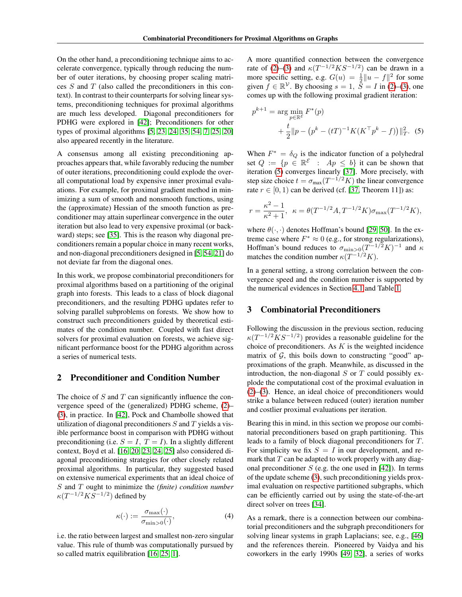On the other hand, a preconditioning technique aims to accelerate convergence, typically through reducing the number of outer iterations, by choosing proper scaling matri- $\cos S$  and  $T$  (also called the preconditioners in this context). In contrast to their counterparts for solving linear systems, preconditioning techniques for proximal algorithms are much less developed. Diagonal preconditioners for PDHG were explored in [\[42\]](#page-9-5); Preconditioners for other types of proximal algorithms [\[5,](#page-8-11) [23,](#page-8-12) [24,](#page-8-13) [35,](#page-9-8) [54,](#page-9-9) [7,](#page-8-14) [25,](#page-8-15) [20\]](#page-8-16) also appeared recently in the literature.

A consensus among all existing preconditioning approaches appears that, while favorably reducing the number of outer iterations, preconditioning could explode the overall computational load by expensive inner proximal evaluations. For example, for proximal gradient method in minimizing a sum of smooth and nonsmooth functions, using the (approximate) Hessian of the smooth function as preconditioner may attain superlinear convergence in the outer iteration but also lead to very expensive proximal (or backward) steps; see [\[35\]](#page-9-8). This is the reason why diagonal preconditioners remain a popular choice in many recent works, and non-diagonal preconditioners designed in [\[5,](#page-8-11) [54,](#page-9-9) [21\]](#page-8-17) do not deviate far from the diagonal ones.

In this work, we propose combinatorial preconditioners for proximal algorithms based on a partitioning of the original graph into forests. This leads to a class of block diagonal preconditioners, and the resulting PDHG updates refer to solving parallel subproblems on forests. We show how to construct such preconditioners guided by theoretical estimates of the condition number. Coupled with fast direct solvers for proximal evaluation on forests, we achieve significant performance boost for the PDHG algorithm across a series of numerical tests.

#### <span id="page-1-2"></span>2 Preconditioner and Condition Number

The choice of  $S$  and  $T$  can significantly influence the convergence speed of the (generalized) PDHG scheme, [\(2\)](#page-0-1)– [\(3\)](#page-0-2), in practice. In [\[42\]](#page-9-5), Pock and Chambolle showed that utilization of diagonal preconditioners  $S$  and  $T$  yields a visible performance boost in comparison with PDHG without preconditioning (i.e.  $S = I$ ,  $T = I$ ). In a slightly different context, Boyd et al. [\[16,](#page-8-18) [20,](#page-8-16) [23,](#page-8-12) [24,](#page-8-13) [25\]](#page-8-15) also considered diagonal preconditioning strategies for other closely related proximal algorithms. In particular, they suggested based on extensive numerical experiments that an ideal choice of S and T ought to minimize the *(finite) condition number*  $\kappa(T^{-1/2}KS^{-1/2})$  defined by

<span id="page-1-1"></span>
$$
\kappa(\cdot) := \frac{\sigma_{\max}(\cdot)}{\sigma_{\min > 0}(\cdot)},\tag{4}
$$

i.e. the ratio between largest and smallest non-zero singular value. This rule of thumb was computationally pursued by so called matrix equilibration [\[16,](#page-8-18) [25,](#page-8-15) [1\]](#page-8-19).

A more quantified connection between the convergence rate of [\(2\)](#page-0-1)–[\(3\)](#page-0-2) and  $\kappa(T^{-1/2}KS^{-1/2})$  can be drawn in a more specific setting, e.g.  $G(u) = \frac{1}{2} ||u - f||^2$  for some given  $f \in \mathbb{R}^{\mathcal{V}}$ . By choosing  $s = 1$ ,  $\overline{S} = I$  in [\(2\)](#page-0-1)–[\(3\)](#page-0-2), one comes up with the following proximal gradient iteration:

<span id="page-1-0"></span>
$$
p^{k+1} = \arg\min_{p \in \mathbb{R}^{\mathcal{E}}} F^*(p)
$$
  
+  $\frac{t}{2} ||p - (p^k - (tT)^{-1} K(K^{\top} p^k - f))||_T^2$ . (5)

When  $F^* = \delta_Q$  is the indicator function of a polyhedral set  $Q := \{p \in \mathbb{R}^{\mathcal{E}} : Ap \leq b\}$  it can be shown that iteration [\(5\)](#page-1-0) converges linearly [\[37\]](#page-9-10). More precisely, with step size choice  $t = \sigma_{\text{max}}(T^{-1/2}K)$  the linear convergence rate  $r \in [0, 1)$  can be derived (cf. [\[37,](#page-9-10) Theorem 11]) as:

$$
r = \frac{\kappa^2 - 1}{\kappa^2 + 1}
$$
,  $\kappa = \theta(T^{-1/2}A, T^{-1/2}K)\sigma_{\text{max}}(T^{-1/2}K)$ ,

where  $\theta(\cdot, \cdot)$  denotes Hoffman's bound [\[29,](#page-8-20) [50\]](#page-9-11). In the extreme case where  $F^* \approx 0$  (e.g., for strong regularizations), Hoffman's bound reduces to  $\sigma_{\min>0}(T^{-1/2}K)^{-1}$  and  $\kappa$ matches the condition number  $\kappa(T^{-1/2}K)$ .

In a general setting, a strong correlation between the convergence speed and the condition number is supported by the numerical evidences in Section [4.1](#page-6-0) and Table [1.](#page-4-0)

### 3 Combinatorial Preconditioners

Following the discussion in the previous section, reducing  $\kappa (T^{-1/2} K S^{-1/2})$  provides a reasonable guideline for the choice of preconditioners. As  $K$  is the weighted incidence matrix of  $G$ , this boils down to constructing "good" approximations of the graph. Meanwhile, as discussed in the introduction, the non-diagonal  $S$  or  $T$  could possibly explode the computational cost of the proximal evaluation in [\(2\)](#page-0-1)–[\(3\)](#page-0-2). Hence, an ideal choice of preconditioners would strike a balance between reduced (outer) iteration number and costlier proximal evaluations per iteration.

Bearing this in mind, in this section we propose our combinatorial preconditioners based on graph partitioning. This leads to a family of block diagonal preconditioners for T. For simplicity we fix  $S = I$  in our development, and remark that  $T$  can be adapted to work properly with any diagonal preconditioner  $S$  (e.g. the one used in [\[42\]](#page-9-5)). In terms of the update scheme [\(3\)](#page-0-2), such preconditioning yields proximal evaluation on respective partitioned subgraphs, which can be efficiently carried out by using the state-of-the-art direct solver on trees [\[34\]](#page-9-12).

As a remark, there is a connection between our combinatorial preconditioners and the subgraph preconditioners for solving linear systems in graph Laplacians; see, e.g., [\[46\]](#page-9-13) and the references therein. Pioneered by Vaidya and his coworkers in the early 1990s [\[49,](#page-9-14) [32\]](#page-9-15), a series of works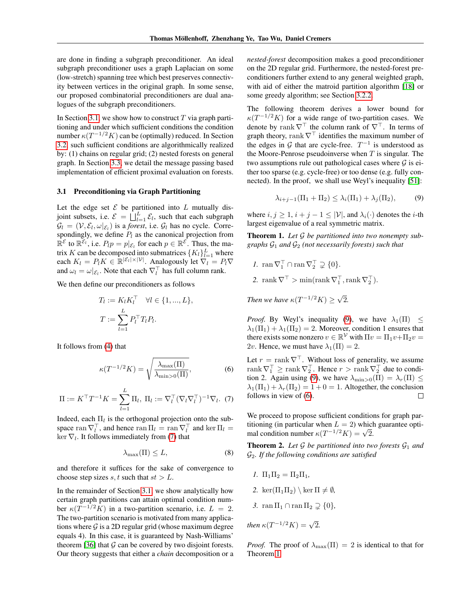are done in finding a subgraph preconditioner. An ideal subgraph preconditioner uses a graph Laplacian on some (low-stretch) spanning tree which best preserves connectivity between vertices in the original graph. In some sense, our proposed combinatorial preconditioners are dual analogues of the subgraph preconditioners.

In Section [3.1,](#page-2-0) we show how to construct  $T$  via graph partitioning and under which sufficient conditions the condition number  $\kappa(T^{-1/2}K)$  can be (optimally) reduced. In Section [3.2,](#page-3-0) such sufficient conditions are algorithmically realized by: (1) chains on regular grid; (2) nested forests on general graph. In Section [3.3,](#page-5-0) we detail the message passing based implementation of efficient proximal evaluation on forests.

#### <span id="page-2-0"></span>3.1 Preconditioning via Graph Partitioning

Let the edge set  $\mathcal E$  be partitioned into  $L$  mutually disjoint subsets, i.e.  $\mathcal{E} = \prod_{l=1}^{L} \mathcal{E}_l$ , such that each subgraph  $\mathcal{G}_l = (\mathcal{V}, \mathcal{E}_l, \omega|_{\mathcal{E}_l})$  is a *forest*, i.e.  $\mathcal{G}_l$  has no cycle. Correspondingly, we define  $P_l$  as the canonical projection from  $\mathbb{R}^{\mathcal{E}}$  to  $\mathbb{R}^{\mathcal{E}_l}$ , i.e.  $P_l p = p |_{\mathcal{E}_l}$  for each  $p \in \mathbb{R}^{\mathcal{E}}$ . Thus, the matrix K can be decomposed into submatrices  $\{K_l\}_{l=1}^L$  where each  $K_l = P_l K \in \mathbb{R}^{|\mathcal{E}_l| \times |\mathcal{V}|}$ . Analogously let  $\nabla_l = P_l \nabla$ and  $\omega_l = \omega|_{\mathcal{E}_l}$ . Note that each  $\nabla_l^{\top}$  has full column rank.

We then define our preconditioners as follows

<span id="page-2-3"></span>
$$
T_l := K_l K_l^{\top} \quad \forall l \in \{1, ..., L\},
$$
  

$$
T := \sum_{l=1}^L P_l^{\top} T_l P_l.
$$

It follows from [\(4\)](#page-1-1) that

$$
\kappa(T^{-1/2}K) = \sqrt{\frac{\lambda_{\max}(\Pi)}{\lambda_{\min>0}(\Pi)}},\tag{6}
$$

<span id="page-2-1"></span>
$$
\Pi := K^{\top} T^{-1} K = \sum_{l=1}^{L} \Pi_l, \ \Pi_l := \nabla_l^{\top} (\nabla_l \nabla_l^{\top})^{-1} \nabla_l. \ \ (7)
$$

Indeed, each  $\Pi_l$  is the orthogonal projection onto the subspace ran  $\nabla_l^{\top}$ , and hence ran  $\Pi_l = \text{ran }\nabla_l^{\top}$  and ker  $\Pi_l =$  $\ker \nabla_l$ . It follows immediately from [\(7\)](#page-2-1) that

<span id="page-2-5"></span>
$$
\lambda_{\max}(\Pi) \le L,\tag{8}
$$

and therefore it suffices for the sake of convergence to choose step sizes s, t such that  $st > L$ .

In the remainder of Section [3.1,](#page-2-0) we show analytically how certain graph partitions can attain optimal condition number  $\kappa(T^{-1/2}K)$  in a two-partition scenario, i.e.  $L = 2$ . The two-partition scenario is motivated from many applications where  $G$  is a 2D regular grid (whose maximum degree equals 4). In this case, it is guaranteed by Nash-Williams' theorem [\[36\]](#page-9-16) that  $\mathcal G$  can be covered by two disjoint forests. Our theory suggests that either a *chain* decomposition or a *nested-forest* decomposition makes a good preconditioner on the 2D regular grid. Furthermore, the nested-forest preconditioners further extend to any general weighted graph, with aid of either the matroid partition algorithm [\[18\]](#page-8-21) or some greedy algorithm; see Section [3.2.2.](#page-4-1)

The following theorem derives a lower bound for  $\kappa(T^{-1/2}K)$  for a wide range of two-partition cases. We denote by rank  $\nabla^{\top}$  the column rank of  $\nabla^{\top}$ . In terms of graph theory, rank  $\nabla^{\top}$  identifies the maximum number of the edges in  $G$  that are cycle-free.  $T^{-1}$  is understood as the Moore-Penrose pseudoinverse when  $T$  is singular. The two assumptions rule out pathological cases where  $\mathcal G$  is either too sparse (e.g. cycle-free) or too dense (e.g. fully connected). In the proof, we shall use Weyl's inequality [\[51\]](#page-9-17):

<span id="page-2-2"></span>
$$
\lambda_{i+j-1}(\Pi_1 + \Pi_2) \le \lambda_i(\Pi_1) + \lambda_j(\Pi_2),\tag{9}
$$

where  $i, j \geq 1$ ,  $i + j - 1 \leq |\mathcal{V}|$ , and  $\lambda_i(\cdot)$  denotes the *i*-th largest eigenvalue of a real symmetric matrix.

<span id="page-2-4"></span>Theorem 1. *Let* G *be partitioned into two nonempty subgraphs* G<sup>1</sup> *and* G<sup>2</sup> *(not necessarily forests) such that*

$$
I. \ \operatorname{ran} \nabla_1^\top \cap \operatorname{ran} \nabla_2^\top \supsetneq \{0\}.
$$

2. rank  $\nabla^{\top} > \min(\text{rank } \nabla_1^{\top}, \text{rank } \nabla_2^{\top}).$ 

Then we have  $\kappa(T^{-1/2}K) \geq \sqrt{2}$ 2*.*

*Proof.* By Weyl's inequality [\(9\)](#page-2-2), we have  $\lambda_1(\Pi) \leq$  $\lambda_1(\Pi_1) + \lambda_1(\Pi_2) = 2$ . Moreover, condition 1 ensures that there exists some nonzero  $v \in \mathbb{R}^{\mathcal{V}}$  with  $\Pi v = \Pi_1 v + \Pi_2 v =$ 2v. Hence, we must have  $\lambda_1(\Pi) = 2$ .

Let  $r = \text{rank } \nabla^{\top}$ . Without loss of generality, we assume rank  $\nabla_1^\top \ge \text{rank } \nabla_2^\top$ . Hence  $r > \text{rank } \nabla_2^\top$  due to condi-tion 2. Again using [\(9\)](#page-2-2), we have  $\lambda_{\min>0}(\Pi) = \lambda_r(\Pi) \le$  $\lambda_1(\Pi_1) + \lambda_r(\Pi_2) = 1 + 0 = 1$ . Altogether, the conclusion follows in view of [\(6\)](#page-2-3).  $\Box$ 

We proceed to propose sufficient conditions for graph partitioning (in particular when  $L = 2$ ) which guarantee optimal condition number  $\kappa(T^{-1/2}K) = \sqrt{2}$ .

**Theorem 2.** Let  $G$  be partitioned into two forests  $G_1$  and G2*. If the following conditions are satisfied*

- *1.*  $\Pi_1 \Pi_2 = \Pi_2 \Pi_1$ ,
- 2. ker $(\Pi_1 \Pi_2) \setminus \ker \Pi \neq \emptyset$ ,
- <span id="page-2-6"></span>*3.* ran  $\Pi_1 \cap$  ran  $\Pi_2 \supseteq \{0\}$ ,

then 
$$
\kappa(T^{-1/2}K) = \sqrt{2}.
$$

*Proof.* The proof of  $\lambda_{\text{max}}(\Pi) = 2$  is identical to that for Theorem [1.](#page-2-4)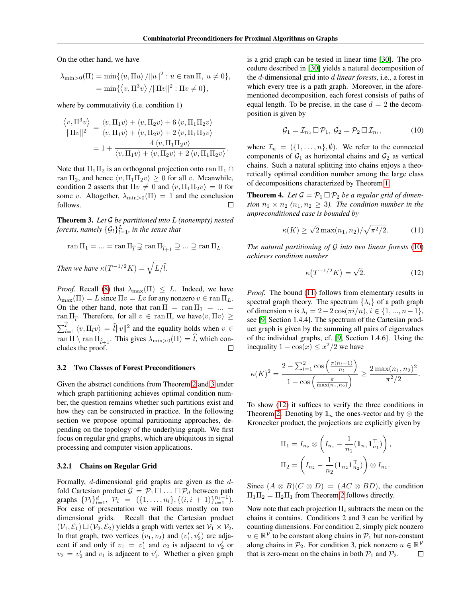On the other hand, we have

$$
\lambda_{\min>0}(\Pi) = \min\{\langle u, \Pi u \rangle / ||u||^2 : u \in \text{ran }\Pi, u \neq 0\},\
$$
  
= 
$$
\min\{\langle v, \Pi^3 v \rangle / ||\Pi v||^2 : \Pi v \neq 0\},\
$$

where by commutativity (*i.e.* condition 1)

$$
\frac{\langle v, \Pi^3 v \rangle}{\|\Pi v\|^2} = \frac{\langle v, \Pi_1 v \rangle + \langle v, \Pi_2 v \rangle + 6 \langle v, \Pi_1 \Pi_2 v \rangle}{\langle v, \Pi_1 v \rangle + \langle v, \Pi_2 v \rangle + 2 \langle v, \Pi_1 \Pi_2 v \rangle}
$$

$$
= 1 + \frac{4 \langle v, \Pi_1 \Pi_2 v \rangle}{\langle v, \Pi_1 v \rangle + \langle v, \Pi_2 v \rangle + 2 \langle v, \Pi_1 \Pi_2 v \rangle}.
$$

Note that  $\Pi_1 \Pi_2$  is an orthogonal projection onto ran  $\Pi_1 \cap$ ran  $\Pi_2$ , and hence  $\langle v, \Pi_1 \Pi_2 v \rangle \ge 0$  for all v. Meanwhile, condition 2 asserts that  $\Pi v \neq 0$  and  $\langle v, \Pi_1 \Pi_2 v \rangle = 0$  for some v. Altogether,  $\lambda_{\min>0}(\Pi) = 1$  and the conclusion follows. □

<span id="page-3-1"></span>Theorem 3. *Let* G *be partitioned into* L *(nonempty) nested* forests, namely  $\{\mathcal{G}_l\}_{l=1}^L$ , in the sense that

$$
\operatorname{ran}\Pi_1=\ldots=\operatorname{ran}\Pi_{\widehat{l}}\supsetneq\operatorname{ran}\Pi_{\widehat{l}+1}\supseteq\ldots\supseteq\operatorname{ran}\Pi_L.
$$

*Then we have*  $\kappa(T^{-1/2}K) = \sqrt{L/\hat{l}}$ .

*Proof.* Recall [\(8\)](#page-2-5) that  $\lambda_{\text{max}}(\Pi) \leq L$ . Indeed, we have  $\lambda_{\text{max}}(\Pi) = L$  since  $\Pi v = Lv$  for any nonzero  $v \in \text{ran }\Pi_L$ . On the other hand, note that ran  $\Pi = \text{ran } \Pi_1 = ... =$  $\text{ran } \Pi_{\hat{l}}$ . Therefore, for all  $v \in \text{ran } \Pi$ , we have $\langle v, \Pi v \rangle \geq$  $\sum_{l=1}^{l} \langle v, \Pi_l v \rangle = \hat{l} ||v||^2$  and the equality holds when  $v \in$ ran  $\Pi \setminus \text{ran } \Pi_{\hat{l}+1}$ . This gives  $\lambda_{\min>0}(\Pi) = \hat{l}$ , which con-<br>cludes the proof. cludes the proof.

#### <span id="page-3-0"></span>3.2 Two Classes of Forest Preconditioners

Given the abstract conditions from Theorem [2](#page-2-6) and [3](#page-3-1) under which graph partitioning achieves optimal condition number, the question remains whether such partitions exist and how they can be constructed in practice. In the following section we propose optimal partitioning approaches, depending on the topology of the underlying graph. We first focus on regular grid graphs, which are ubiquitous in signal processing and computer vision applications.

#### 3.2.1 Chains on Regular Grid

Formally, d-dimensional grid graphs are given as the dfold Cartesian product  $G = P_1 \square ... \square P_d$  between path graphs  $\{\mathcal{P}_l\}_{l=1}^d$ ,  $\mathcal{P}_l = (\{1, \ldots, n_l\}, \{(i, i + 1)\}_{i=1}^{n_l-1})$ . For ease of presentation we will focus mostly on two dimensional grids. Recall that the Cartesian product  $(\mathcal{V}_1, \mathcal{E}_1) \square (\mathcal{V}_2, \mathcal{E}_2)$  yields a graph with vertex set  $\mathcal{V}_1 \times \mathcal{V}_2$ . In that graph, two vertices  $(v_1, v_2)$  and  $(v'_1, v'_2)$  are adjacent if and only if  $v_1 = v'_1$  and  $v_2$  is adjacent to  $v'_2$  or  $v_2 = v_2'$  and  $v_1$  is adjacent to  $v_1'$ . Whether a given graph

is a grid graph can be tested in linear time [\[30\]](#page-9-18). The procedure described in [\[30\]](#page-9-18) yields a natural decomposition of the d-dimensional grid into d *linear forests*, i.e., a forest in which every tree is a path graph. Moreover, in the aforementioned decomposition, each forest consists of paths of equal length. To be precise, in the case  $d = 2$  the decomposition is given by

<span id="page-3-2"></span>
$$
\mathcal{G}_1 = \mathcal{I}_{n_2} \square \mathcal{P}_1, \ \mathcal{G}_2 = \mathcal{P}_2 \square \mathcal{I}_{n_1}, \tag{10}
$$

where  $\mathcal{I}_n = (\{1, \ldots, n\}, \emptyset)$ . We refer to the connected components of  $G_1$  as horizontal chains and  $G_2$  as vertical chains. Such a natural splitting into chains enjoys a theoretically optimal condition number among the large class of decompositions characterized by Theorem [1.](#page-2-4)

**Theorem 4.** Let  $\mathcal{G} = \mathcal{P}_1 \square \mathcal{P}_2$  be a regular grid of dimen*sion*  $n_1 \times n_2$   $(n_1, n_2 \geq 3)$ . The condition number in the *unpreconditioned case is bounded by*

<span id="page-3-3"></span>
$$
\kappa(K) \ge \sqrt{2} \max(n_1, n_2) / \sqrt{\pi^2 / 2}.
$$
 (11)

*The natural partitioning of* G *into two linear forests* [\(10\)](#page-3-2) *achieves condition number*

<span id="page-3-4"></span>
$$
\kappa \left( T^{-1/2} K \right) = \sqrt{2}.
$$
 (12)

*Proof.* The bound [\(11\)](#page-3-3) follows from elementary results in spectral graph theory. The spectrum  $\{\lambda_i\}$  of a path graph of dimension n is  $\lambda_i = 2 - 2 \cos(\pi i/n), i \in \{1, ..., n-1\},$ see [\[9,](#page-8-22) Section 1.4.4]. The spectrum of the Cartesian product graph is given by the summing all pairs of eigenvalues of the individual graphs, cf. [\[9,](#page-8-22) Section 1.4.6]. Using the inequality  $1 - \cos(x) \leq x^2/2$  we have

<span id="page-3-5"></span>
$$
\kappa(K)^{2} = \frac{2 - \sum_{l=1}^{2} \cos\left(\frac{\pi(n_{l}-1)}{n_{l}}\right)}{1 - \cos\left(\frac{\pi}{\max(n_{1}, n_{2})}\right)} \ge \frac{2 \max(n_{1}, n_{2})^{2}}{\pi^{2}/2}.
$$

To show [\(12\)](#page-3-4) it suffices to verify the three conditions in Theorem [2.](#page-2-6) Denoting by  $\mathbf{1}_n$  the ones-vector and by ⊗ the Kronecker product, the projections are explicitly given by

$$
\Pi_1 = I_{n_2} \otimes \left( I_{n_1} - \frac{1}{n_1} (\mathbf{1}_{n_1} \mathbf{1}_{n_1}^\top) \right),
$$
  

$$
\Pi_2 = \left( I_{n_2} - \frac{1}{n_2} (\mathbf{1}_{n_2} \mathbf{1}_{n_2}^\top) \right) \otimes I_{n_1}.
$$

Since  $(A \otimes B)(C \otimes D) = (AC \otimes BD)$ , the condition  $\Pi_1\Pi_2 = \Pi_2\Pi_1$  from Theorem [2](#page-2-6) follows directly.

Now note that each projection  $\Pi_i$  subtracts the mean on the chains it contains. Conditions 2 and 3 can be verified by counting dimensions. For condition 2, simply pick nonzero  $u \in \mathbb{R}^{\mathcal{V}}$  to be constant along chains in  $\mathcal{P}_1$  but non-constant along chains in  $\mathcal{P}_2$ . For condition 3, pick nonzero  $u \in \mathbb{R}^{\mathcal{V}}$ that is zero-mean on the chains in both  $P_1$  and  $P_2$ .  $\Box$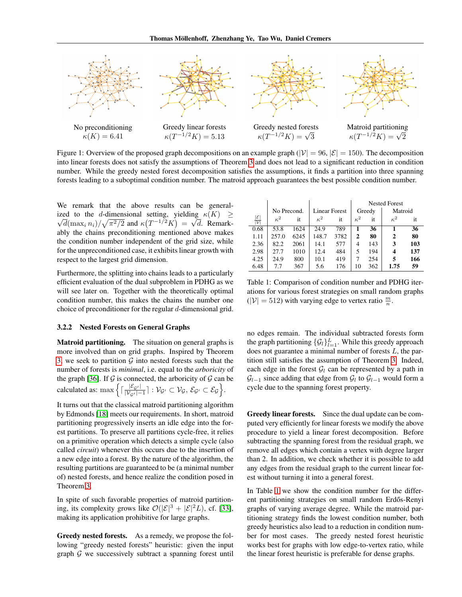

Figure 1: Overview of the proposed graph decompositions on an example graph ( $|\mathcal{V}| = 96$ ,  $|\mathcal{E}| = 150$ ). The decomposition into linear forests does not satisfy the assumptions of Theorem [3](#page-3-1) and does not lead to a significant reduction in condition number. While the greedy nested forest decomposition satisfies the assumptions, it finds a partition into three spanning forests leading to a suboptimal condition number. The matroid approach guarantees the best possible condition number.

We remark that the above results can be generalized to the *d*-dimensional setting, yielding  $\kappa(K) \geq$  $\overline{d}(\max_i n_i)/\sqrt{\pi^2/2}$  and  $\kappa(T^{-1/2}K) = \sqrt{d}$ . Remarkably the chains preconditioning mentioned above makes the condition number independent of the grid size, while for the unpreconditioned case, it exhibits linear growth with respect to the largest grid dimension.

Furthermore, the splitting into chains leads to a particularly efficient evaluation of the dual subproblem in PDHG as we will see later on. Together with the theoretically optimal condition number, this makes the chains the number one choice of preconditioner for the regular d-dimensional grid.

#### <span id="page-4-1"></span>3.2.2 Nested Forests on General Graphs

Matroid partitioning. The situation on general graphs is more involved than on grid graphs. Inspired by Theorem [3,](#page-3-1) we seek to partition  $G$  into nested forests such that the number of forests is *minimal*, i.e. equal to the *arboricity* of the graph [\[36\]](#page-9-16). If  $G$  is connected, the arboricity of  $G$  can be calculated as: max  $\left\{ \left[ \frac{|\mathcal{E}_{\mathcal{G}'}|}{|\mathcal{V}_{\mathcal{G}'}|} \right] \right\}$  $\frac{|\mathcal{E}_{\mathcal{G}'}|}{|\mathcal{V}_{\mathcal{G}'}|-1}|: \mathcal{V}_{\mathcal{G}'}\subset \mathcal{V}_{\mathcal{G}},\, \mathcal{E}_{\mathcal{G}'}\subset \mathcal{E}_{\mathcal{G}}\Big\}.$ 

It turns out that the classical matroid partitioning algorithm by Edmonds [\[18\]](#page-8-21) meets our requirements. In short, matroid partitioning progressively inserts an idle edge into the forest partitions. To preserve all partitions cycle-free, it relies on a primitive operation which detects a simple cycle (also called *circuit*) whenever this occurs due to the insertion of a new edge into a forest. By the nature of the algorithm, the resulting partitions are guaranteed to be (a minimal number of) nested forests, and hence realize the condition posed in Theorem [3.](#page-3-1)

In spite of such favorable properties of matroid partitioning, its complexity grows like  $\mathcal{O}(|\mathcal{E}|^3 + |\mathcal{E}|^2L)$ , cf. [\[33\]](#page-9-19), making its application prohibitive for large graphs.

Greedy nested forests. As a remedy, we propose the following "greedy nested forests" heuristic: given the input graph  $G$  we successively subtract a spanning forest until

<span id="page-4-0"></span>

|                                             |             |      |                      |      | <b>Nested Forest</b> |     |              |     |
|---------------------------------------------|-------------|------|----------------------|------|----------------------|-----|--------------|-----|
|                                             | No Precond. |      | <b>Linear Forest</b> |      | Greedy               |     | Matroid      |     |
| $ \mathcal{E} $<br>$\overline{\mathcal{V}}$ | $\kappa^2$  | it   | $\kappa^2$           | it   | $\kappa^2$           | it  | $\kappa^2$   | it  |
| 0.68                                        | 53.8        | 1624 | 24.9                 | 789  |                      | 36  |              | 36  |
| 1.11                                        | 257.0       | 6245 | 148.7                | 3782 | $\mathbf{2}$         | 80  | $\mathbf{2}$ | 80  |
| 2.36                                        | 82.2        | 2061 | 14.1                 | 577  | 4                    | 143 | 3            | 103 |
| 2.98                                        | 27.7        | 1010 | 12.4                 | 484  | 5                    | 194 | 4            | 137 |
| 4.25                                        | 24.9        | 800  | 10.1                 | 419  |                      | 254 | 5            | 166 |
| 6.48                                        | 7.7         | 367  | 5.6                  | 176  | 10                   | 362 | 1.75         | 59  |

Table 1: Comparison of condition number and PDHG iterations for various forest strategies on small random graphs  $(|V| = 512)$  with varying edge to vertex ratio  $\frac{m}{n}$ .

no edges remain. The individual subtracted forests form the graph partitioning  $\{\mathcal{G}_l\}_{l=1}^L$ . While this greedy approach does not guarantee a minimal number of forests L, the partition still satisfies the assumption of Theorem [3.](#page-3-1) Indeed, each edge in the forest  $G_l$  can be represented by a path in  $\mathcal{G}_{l-1}$  since adding that edge from  $\mathcal{G}_l$  to  $\mathcal{G}_{l-1}$  would form a cycle due to the spanning forest property.

Greedy linear forests. Since the dual update can be computed very efficiently for linear forests we modify the above procedure to yield a linear forest decomposition. Before subtracting the spanning forest from the residual graph, we remove all edges which contain a vertex with degree larger than 2. In addition, we check whether it is possible to add any edges from the residual graph to the current linear forest without turning it into a general forest.

In Table [1](#page-4-0) we show the condition number for the different partitioning strategies on small random Erdős-Renyi graphs of varying average degree. While the matroid partitioning strategy finds the lowest condition number, both greedy heuristics also lead to a reduction in condition number for most cases. The greedy nested forest heuristic works best for graphs with low edge-to-vertex ratio, while the linear forest heuristic is preferable for dense graphs.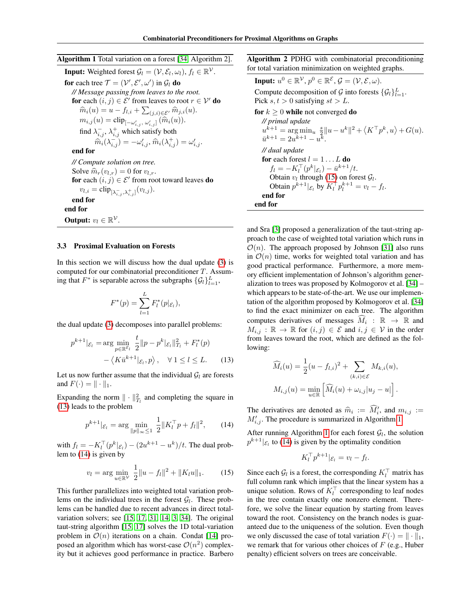<span id="page-5-3"></span>Algorithm 1 Total variation on a forest [\[34,](#page-9-12) Algorithm 2]. **Input:** Weighted forest  $\mathcal{G}_l = (\mathcal{V}, \mathcal{E}_l, \omega_l)$ ,  $f_l \in \mathbb{R}^{\mathcal{V}}$ . for each tree  $\mathcal{T} = (\mathcal{V}', \mathcal{E}', \omega')$  in  $\mathcal{G}_l$  do *// Message passing from leaves to the root.* for each  $(i, j) \in \mathcal{E}'$  from leaves to root  $r \in \mathcal{V}'$  do  $\widehat{m}_i(u) = u - f_{l,i} + \sum_{(j,i) \in \mathcal{E}'} \widehat{m}_{j,i}(u).$  $m_{i,j}(u) = \text{clip}_{[-\omega'_{i,j}, \omega'_{i,j}]}(\widehat{m}_{i}(u)).$ find  $\lambda_{i,j}^-$ ,  $\lambda_{i,j}^+$  which satisfy both  $\hat{\widetilde{m_i}}(\lambda_{i,j}^-) = -\omega_{i,j}', \hat{m}_i(\lambda_{i,j}^+) = \omega_{i,j}'.$ end for *// Compute solution on tree.* Solve  $\widehat{m}_r(v_{l,r}) = 0$  for  $v_{l,r}$ . for each  $(i, j) \in \mathcal{E}'$  from root toward leaves do  $v_{l,i} = \text{clip}_{[\lambda_{i,j}^-,\lambda_{i,j}^+]}(v_{l,j}).$ end for end for Output:  $v_l \in \mathbb{R}^{\mathcal{V}}$ .

#### <span id="page-5-0"></span>3.3 Proximal Evaluation on Forests

In this section we will discuss how the dual update [\(3\)](#page-0-2) is computed for our combinatorial preconditioner T. Assuming that  $F^*$  is separable across the subgraphs  $\{\mathcal{G}_l\}_{l=1}^L$ ,

$$
F^*(p) = \sum_{l=1}^L F_l^*(p|_{\mathcal{E}_l}),
$$

the dual update [\(3\)](#page-0-2) decomposes into parallel problems:

$$
p^{k+1}|\varepsilon_{l} = \arg\min_{p \in \mathbb{R}^{\mathcal{E}_{l}}} \frac{t}{2} ||p - p^{k}|\varepsilon_{l}||_{T_{l}}^{2} + F_{l}^{*}(p)
$$

$$
- \langle K\bar{u}^{k+1}|\varepsilon_{l}, p \rangle, \quad \forall \ 1 \leq l \leq L. \tag{13}
$$

Let us now further assume that the individual  $\mathcal{G}_l$  are forests and  $F(\cdot) = || \cdot ||_1$ .

Expanding the norm  $\|\cdot\|_{T_l}^2$  and completing the square in [\(13\)](#page-3-5) leads to the problem

$$
p^{k+1} |_{\mathcal{E}_l} = \arg \min_{\|p\|_{\infty} \le 1} \frac{1}{2} \|K_l^{\top} p + f_l\|^2, \qquad (14)
$$

with  $f_l = -K_l^{\top}(p^k | \varepsilon_l) - (2u^{k+1} - u^k)/t$ . The dual problem to [\(14\)](#page-5-1) is given by

$$
v_l = \arg\min_{u \in \mathbb{R}^V} \frac{1}{2} \|u - f_l\|^2 + \|K_l u\|_1. \tag{15}
$$

This further parallelizes into weighted total variation problems on the individual trees in the forest  $G_l$ . These problems can be handled due to recent advances in direct totalvariation solvers; see [\[15,](#page-8-23) [17,](#page-8-24) [31,](#page-9-20) [14,](#page-8-25) [3,](#page-8-26) [34\]](#page-9-12). The original taut-string algorithm [\[15,](#page-8-23) [17\]](#page-8-24) solves the 1D total-variation problem in  $\mathcal{O}(n)$  iterations on a chain. Condat [\[14\]](#page-8-25) proposed an algorithm which has worst-case  $\mathcal{O}(n^2)$  complexity but it achieves good performance in practice. Barbero

<span id="page-5-4"></span>Algorithm 2 PDHG with combinatorial preconditioning for total variation minimization on weighted graphs.

Input:  $u^0 \in \mathbb{R}^{\mathcal{V}}, p^0 \in \mathbb{R}^{\mathcal{E}}, \mathcal{G} = (\mathcal{V}, \mathcal{E}, \omega).$ Compute decomposition of  $G$  into forests  $\{\mathcal{G}_l\}_{l=1}^L$ . Pick  $s, t > 0$  satisfying  $st > L$ . for  $k \geq 0$  while not converged do *// primal update*  $u^{k+1} = \arg \min_{u} \frac{s}{2} ||u - u^k||^2 + \langle K^\top p^k, u \rangle + G(u).$  $\bar{u}^{k+1} = 2u^{k+1} - u^k.$ *// dual update* for each forest  $l = 1 \dots L$  do  $f_l = -K_l^{\top}(p^k|_{\mathcal{E}_l}) - \bar{u}^{k+1}/t.$  $\mathcal{L}_l = -\mathbf{R}_l \left( \frac{\rho}{\varepsilon_l} \right) - a$  /  $\iota$ .<br>Obtain  $v_l$  through [\(15\)](#page-5-2) on forest  $\mathcal{G}_l$ . Obtain  $p^{k+1} | \varepsilon_l$  by  $K_l^{\top} p_l^{k+1} = v_l - f_l$ . end for end for

and Sra [\[3\]](#page-8-26) proposed a generalization of the taut-string approach to the case of weighted total variation which runs in  $\mathcal{O}(n)$ . The approach proposed by Johnson [\[31\]](#page-9-20) also runs in  $\mathcal{O}(n)$  time, works for weighted total variation and has good practical performance. Furthermore, a more memory efficient implementation of Johnson's algorithm generalization to trees was proposed by Kolmogorov et al. [\[34\]](#page-9-12) – which appears to be state-of-the-art. We use our implementation of the algorithm proposed by Kolmogorov et al. [\[34\]](#page-9-12) to find the exact minimizer on each tree. The algorithm computes derivatives of messages  $\widehat{M}_i : \mathbb{R} \to \mathbb{R}$  and  $M_{i,j} : \mathbb{R} \to \mathbb{R}$  for  $(i,j) \in \mathcal{E}$  and  $i,j \in \mathcal{V}$  in the order from leaves toward the root, which are defined as the following:

$$
\widehat{M}_i(u) = \frac{1}{2}(u - f_{l,i})^2 + \sum_{(k,i) \in \mathcal{E}} M_{k,i}(u),
$$
  

$$
M_{i,j}(u) = \min_{u \in \mathbb{R}} \left[ \widehat{M}_i(u) + \omega_{i,j} | u_j - u| \right].
$$

<span id="page-5-1"></span>The derivatives are denoted as  $\hat{m}_i := \hat{M}'_i$ , and  $m_{i,j} := M'$ . The procedure is summarized in Algorithm 1.  $M'_{i,j}$ . The procedure is summarized in Algorithm [1.](#page-5-3)

After running Algorithm [1](#page-5-3) for each forest  $G_l$ , the solution  $p^{k+1} | \varepsilon_k$  to [\(14\)](#page-5-1) is given by the optimality condition

$$
K_l^{\top} p^{k+1} |_{\mathcal{E}_l} = v_l - f_l.
$$

<span id="page-5-2"></span>Since each  $\mathcal{G}_l$  is a forest, the corresponding  $K_l^{\top}$  matrix has full column rank which implies that the linear system has a unique solution. Rows of  $K_l^{\top}$  corresponding to leaf nodes in the tree contain exactly one nonzero element. Therefore, we solve the linear equation by starting from leaves toward the root. Consistency on the branch nodes is guaranteed due to the uniqueness of the solution. Even though we only discussed the case of total variation  $F(\cdot) = || \cdot ||_1$ , we remark that for various other choices of  $F$  (e.g., Huber penalty) efficient solvers on trees are conceivable.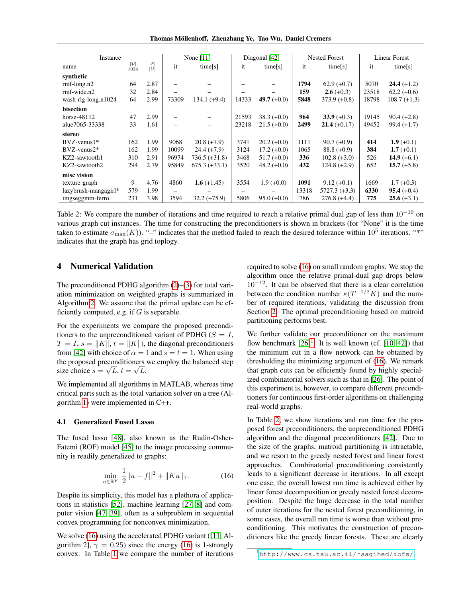Thomas Mollenhoff, Zhenzhang Ye, Tao Wu, Daniel Cremers ¨

<span id="page-6-3"></span>

| Instance             |                                         |                                       | None $[11]$              |                 | Diagonal [42] |               | <b>Nested Forest</b> |                | <b>Linear Forest</b> |                |
|----------------------|-----------------------------------------|---------------------------------------|--------------------------|-----------------|---------------|---------------|----------------------|----------------|----------------------|----------------|
| name                 | $\frac{\left \mathcal{V}\right }{1024}$ | $\frac{ \mathcal{E} }{ \mathcal{V} }$ | it                       | time[s]         | it            | time[s]       | it                   | time[s]        | it                   | time[s]        |
| synthetic            |                                         |                                       |                          |                 |               |               |                      |                |                      |                |
| $rmf-long.n2$        | 64                                      | 2.87                                  |                          |                 |               |               | 1794                 | $62.9 (+0.7)$  | 5070                 | $24.4 (+1.2)$  |
| $rmf$ -wide.n2       | 32                                      | 2.84                                  |                          |                 |               |               | 159                  | $2.6 (+0.3)$   | 23518                | $62.2 (+0.6)$  |
| wash-rlg-long.n1024  | 64                                      | 2.99                                  | 73309                    | 134.1 (+9.4)    | 14333         | 49.7 $(+0.0)$ | 5848                 | $373.9 (+0.8)$ | 18798                | $108.7 (+1.3)$ |
| bisection            |                                         |                                       |                          |                 |               |               |                      |                |                      |                |
| horse-48112          | 47                                      | 2.99                                  |                          |                 | 21593         | $38.3 (+0.0)$ | 964                  | $33.9 (+0.3)$  | 19145                | $90.4 (+2.8)$  |
| alue7065-33338       | 33                                      | 1.61                                  |                          |                 | 23218         | $21.5 (+0.0)$ | 2499                 | $21.4 (+0.17)$ | 49452                | $99.4 (+1.7)$  |
| stereo               |                                         |                                       |                          |                 |               |               |                      |                |                      |                |
| $BVZ$ -venus $1^*$   | 162                                     | 1.99                                  | 9068                     | $20.8 (+7.9)$   | 3741          | $20.2 (+0.0)$ | 1111                 | $90.7 (+0.9)$  | 414                  | 1.9 $(+0.1)$   |
| $BVZ$ -venus $2^*$   | 162                                     | 1.99                                  | 10099                    | $24.4(+7.9)$    | 3124          | $17.2 (+0.0)$ | 1065                 | $88.8 (+0.9)$  | 384                  | 1.7 $(+0.1)$   |
| KZ2-sawtooth1        | 310                                     | 2.91                                  | 96974                    | $736.5 (+31.8)$ | 3468          | $51.7 (+0.0)$ | 336                  | $102.8 (+3.0)$ | 526                  | 14.9 $(+6.1)$  |
| KZ2-sawtooth2        | 294                                     | 2.79                                  | 95849                    | $675.3 (+33.1)$ | 3520          | $48.2 (+0.0)$ | 432                  | $124.8 (+2.9)$ | 652                  | $15.7 (+5.8)$  |
| misc vision          |                                         |                                       |                          |                 |               |               |                      |                |                      |                |
| texture_graph        | 9                                       | 4.76                                  | 4860                     | 1.6 $(+1.45)$   | 3554          | $1.9(+0.0)$   | 1091                 | $9.12 (+0.1)$  | 1669                 | $1.7(+0.3)$    |
| lazybrush-mangagirl* | 579                                     | 1.99                                  | $\overline{\phantom{0}}$ |                 | -             |               | 13318                | 5727.3 (+3.3)  | 6330                 | $95.4(+0.4)$   |
| imgseggmm-ferro      | 231                                     | 3.98                                  | 3594                     | $32.2 (+75.9)$  | 5806          | $95.0 (+0.0)$ | 786                  | $276.8 (+4.4)$ | 775                  | $25.6 (+3.1)$  |

Table 2: We compare the number of iterations and time required to reach a relative primal dual gap of less than  $10^{-10}$  on various graph cut instances. The time for constructing the preconditioners is shown in brackets (for "None" it is the time taken to estimate  $\sigma_{\max}(K)$ ). "-" indicates that the method failed to reach the desired tolerance within  $10^5$  iterations. "\*" indicates that the graph has grid toplogy.

# 4 Numerical Validation

The preconditioned PDHG algorithm [\(2\)](#page-0-1)–[\(3\)](#page-0-2) for total variation minimization on weighted graphs is summarized in Algorithm [2.](#page-5-4) We assume that the primal update can be efficiently computed, e.g. if  $G$  is separable.

For the experiments we compare the proposed preconditioners to the unpreconditioned variant of PDHG ( $S = I$ ,  $T = I$ ,  $s = ||K||$ ,  $t = ||K||$ , the diagonal preconditioners from [\[42\]](#page-9-5) with choice of  $\alpha = 1$  and  $s = t = 1$ . When using the proposed preconditioners we employ the balanced step size choice  $s = \sqrt{L}$ ,  $t = \sqrt{L}$ .

We implemented all algorithms in MATLAB, whereas time critical parts such as the total variation solver on a tree (Algorithm [1\)](#page-5-3) were implemented in C++.

# <span id="page-6-0"></span>4.1 Generalized Fused Lasso

The fused lasso [\[48\]](#page-9-0), also known as the Rudin-Osher-Fatemi (ROF) model [\[45\]](#page-9-21) to the image processing community is readily generalized to graphs:

<span id="page-6-1"></span>
$$
\min_{u \in \mathbb{R}^{\mathcal{V}}} \frac{1}{2} \|u - f\|^{2} + \|Ku\|_{1}.
$$
 (16)

Despite its simplicity, this model has a plethora of applications in statistics [\[52\]](#page-9-1), machine learning [\[27,](#page-8-0) [8\]](#page-8-3) and computer vision [\[47,](#page-9-22) [39\]](#page-9-23), often as a subproblem in sequential convex programming for nonconvex minimization.

We solve [\(16\)](#page-6-1) using the accelerated PDHG variant ([\[11,](#page-8-1) Algorithm 2],  $\gamma = 0.25$ ) since the energy [\(16\)](#page-6-1) is 1-strongly convex. In Table [1](#page-4-0) we compare the number of iterations required to solve [\(16\)](#page-6-1) on small random graphs. We stop the algorithm once the relative primal-dual gap drops below  $10^{-12}$ . It can be observed that there is a clear correlation between the condition number  $\kappa(T^{-1/2}K)$  and the number of required iterations, validating the discussion from Section [2.](#page-1-2) The optimal preconditioning based on matroid partitioning performs best.

We further validate our preconditioner on the maximum flow benchmark  $[26]$ <sup>[1](#page-6-2)</sup>. It is well known (cf.  $[10, 42]$  $[10, 42]$ ) that the minimum cut in a flow network can be obtained by thresholding the minimizing argument of [\(16\)](#page-6-1). We remark that graph cuts can be efficiently found by highly specialized combinatorial solvers such as that in [\[26\]](#page-8-27). The point of this experiment is, however, to compare different preconditioners for continuous first-order algorithms on challenging real-world graphs.

In Table [2,](#page-6-3) we show iterations and run time for the proposed forest preconditioners, the unpreconditioned PDHG algorithm and the diagonal preconditioners [\[42\]](#page-9-5). Due to the size of the graphs, matroid partitioning is intractable, and we resort to the greedy nested forest and linear forest approaches. Combinatorial preconditioning consistently leads to a significant decrease in iterations. In all except one case, the overall lowest run time is achieved either by linear forest decomposition or greedy nested forest decomposition. Despite the huge decrease in the total number of outer iterations for the nested forest preconditioning, in some cases, the overall run time is worse than without preconditioning. This motivates the construction of preconditioners like the greedy linear forests. These are clearly

<span id="page-6-2"></span><sup>1</sup>http://www.cs.tau.ac.il/~sagihed/ibfs/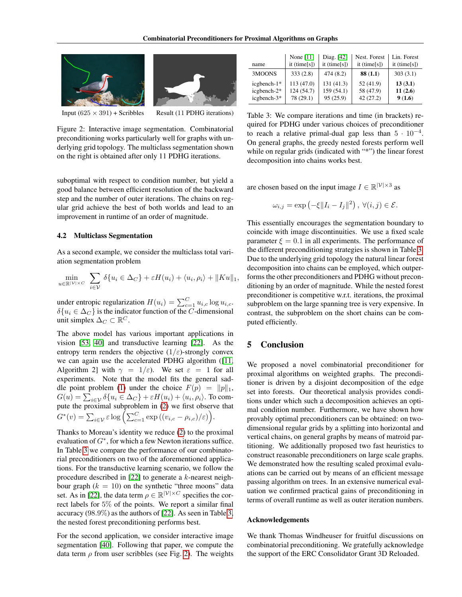<span id="page-7-1"></span>



Input  $(625 \times 391)$  + Scribbles Result (11 PDHG iterations)

Figure 2: Interactive image segmentation. Combinatorial preconditioning works particularly well for graphs with underlying grid topology. The multiclass segmentation shown on the right is obtained after only 11 PDHG iterations.

suboptimal with respect to condition number, but yield a good balance between efficient resolution of the backward step and the number of outer iterations. The chains on regular grid achieve the best of both worlds and lead to an improvement in runtime of an order of magnitude.

#### 4.2 Multiclass Segmentation

As a second example, we consider the multiclass total variation segmentation problem

$$
\min_{u \in \mathbb{R}^{|\mathcal{V}| \times C}} \sum_{i \in \mathcal{V}} \delta\{u_i \in \Delta_C\} + \varepsilon H(u_i) + \langle u_i, \rho_i \rangle + \|Ku\|_1,
$$

under entropic regularization  $H(u_i) = \sum_{c=1}^{C} u_{i,c} \log u_{i,c}$ .  $\delta\{u_i \in \Delta_C\}$  is the indicator function of the  $\overline{C}$ -dimensional unit simplex  $\Delta_C \subset \mathbb{R}^C$ .

The above model has various important applications in vision [\[53,](#page-9-24) [40\]](#page-9-25) and transductive learning [\[22\]](#page-8-4). As the entropy term renders the objective  $(1/\varepsilon)$ -strongly convex we can again use the accelerated PDHG algorithm ([\[11,](#page-8-1) Algorithm 2] with  $\gamma = 1/\varepsilon$ . We set  $\varepsilon = 1$  for all experiments. Note that the model fits the general sad-dle point problem [\(1\)](#page-0-0) under the choice  $F(p) = ||p||_1$ ,  $G(u) = \sum_{i\in\mathcal{V}} \delta\{u_i\in\Delta_C\} + \varepsilon H(u_i) + \langle u_i, \rho_i\rangle.$  To compute the proximal subproblem in [\(2\)](#page-0-1) we first observe that  $G^*(v) = \sum_{i \in \mathcal{V}} \varepsilon \log \left( \sum_{c=1}^C \exp \left( (v_{i,c} - \rho_{i,c})/\varepsilon \right) \right).$ 

Thanks to Moreau's identity we reduce [\(2\)](#page-0-1) to the proximal evaluation of  $G^*$ , for which a few Newton iterations suffice. In Table [3](#page-7-0) we compare the performance of our combinatorial preconditioners on two of the aforementioned applications. For the transductive learning scenario, we follow the procedure described in [\[22\]](#page-8-4) to generate a k-nearest neighbour graph  $(k = 10)$  on the synthetic "three moons" data set. As in [\[22\]](#page-8-4), the data term  $\rho \in \mathbb{R}^{|\mathcal{V}| \times C}$  specifies the correct labels for 5% of the points. We report a similar final accuracy (98.9%) as the authors of [\[22\]](#page-8-4). As seen in Table [3,](#page-7-0) the nested forest preconditioning performs best.

For the second application, we consider interactive image segmentation [\[40\]](#page-9-25). Following that paper, we compute the data term  $\rho$  from user scribbles (see Fig. [2\)](#page-7-1). The weights

<span id="page-7-0"></span>

| name          | None [11]      | Diag. [42]     | Nest. Forest   | Lin. Forest    |
|---------------|----------------|----------------|----------------|----------------|
|               | it $(time[s])$ | it $(time[s])$ | it $(time[s])$ | it $(time[s])$ |
| 3MOONS        | 333(2.8)       | 474(8.2)       | 88(1.1)        | 303(3.1)       |
| icgbench-1*   | 113(47.0)      | 131(41.3)      | 52(41.9)       | 13(3.1)        |
| $icebench-2*$ | 124(54.7)      | 159(54.1)      | 58 (47.9)      | 11(2.6)        |
| $icebench-3*$ | 78 (29.1)      | 95(25.9)       | 42(27.2)       | 9(1.6)         |

Table 3: We compare iterations and time (in brackets) required for PDHG under various choices of preconditioner to reach a relative primal-dual gap less than  $5 \cdot 10^{-4}$ . On general graphs, the greedy nested forests perform well while on regular grids (indicated with "\*") the linear forest decomposition into chains works best.

are chosen based on the input image  $I \in \mathbb{R}^{|\mathcal{V}| \times 3}$  as

$$
\omega_{i,j} = \exp\left(-\xi \|I_i - I_j\|^2\right), \ \forall (i,j) \in \mathcal{E}.
$$

This essentially encourages the segmentation boundary to coincide with image discontinuities. We use a fixed scale parameter  $\xi = 0.1$  in all experiments. The performance of the different preconditioning strategies is shown in Table [3.](#page-7-0) Due to the underlying grid topology the natural linear forest decomposition into chains can be employed, which outperforms the other preconditioners and PDHG without preconditioning by an order of magnitude. While the nested forest preconditioner is competitive w.r.t. iterations, the proximal subproblem on the large spanning tree is very expensive. In contrast, the subproblem on the short chains can be computed efficiently.

# 5 Conclusion

We proposed a novel combinatorial preconditioner for proximal algorithms on weighted graphs. The preconditioner is driven by a disjoint decomposition of the edge set into forests. Our theoretical analysis provides conditions under which such a decomposition achieves an optimal condition number. Furthermore, we have shown how provably optimal preconditioners can be obtained: on twodimensional regular grids by a splitting into horizontal and vertical chains, on general graphs by means of matroid partitioning. We additionally proposed two fast heuristics to construct reasonable preconditioners on large scale graphs. We demonstrated how the resulting scaled proximal evaluations can be carried out by means of an efficient message passing algorithm on trees. In an extensive numerical evaluation we confirmed practical gains of preconditioning in terms of overall runtime as well as outer iteration numbers.

#### Acknowledgements

We thank Thomas Windheuser for fruitful discussions on combinatorial preconditioning. We gratefully acknowledge the support of the ERC Consolidator Grant 3D Reloaded.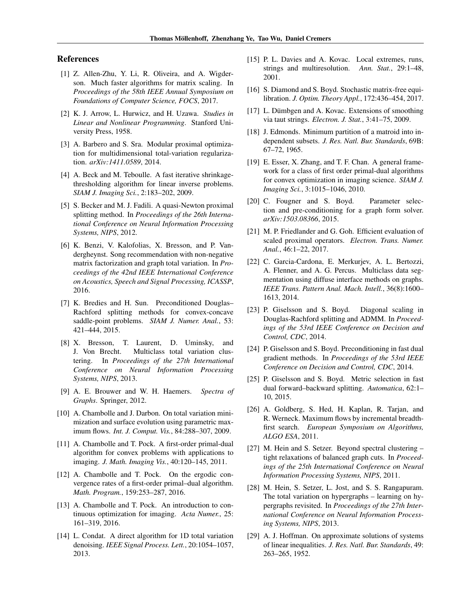## References

- <span id="page-8-19"></span>[1] Z. Allen-Zhu, Y. Li, R. Oliveira, and A. Wigderson. Much faster algorithms for matrix scaling. In *Proceedings of the 58th IEEE Annual Symposium on Foundations of Computer Science, FOCS*, 2017.
- <span id="page-8-7"></span>[2] K. J. Arrow, L. Hurwicz, and H. Uzawa. *Studies in Linear and Nonlinear Programming*. Stanford University Press, 1958.
- <span id="page-8-26"></span>[3] A. Barbero and S. Sra. Modular proximal optimization for multidimensional total-variation regularization. *arXiv:1411.0589*, 2014.
- <span id="page-8-9"></span>[4] A. Beck and M. Teboulle. A fast iterative shrinkagethresholding algorithm for linear inverse problems. *SIAM J. Imaging Sci.*, 2:183–202, 2009.
- <span id="page-8-11"></span>[5] S. Becker and M. J. Fadili. A quasi-Newton proximal splitting method. In *Proceedings of the 26th International Conference on Neural Information Processing Systems, NIPS*, 2012.
- <span id="page-8-5"></span>[6] K. Benzi, V. Kalofolias, X. Bresson, and P. Vandergheynst. Song recommendation with non-negative matrix factorization and graph total variation. In *Proceedings of the 42nd IEEE International Conference on Acoustics, Speech and Signal Processing, ICASSP*, 2016.
- <span id="page-8-14"></span>[7] K. Bredies and H. Sun. Preconditioned Douglas– Rachford splitting methods for convex-concave saddle-point problems. *SIAM J. Numer. Anal.*, 53: 421–444, 2015.
- <span id="page-8-3"></span>[8] X. Bresson, T. Laurent, D. Uminsky, and J. Von Brecht. Multiclass total variation clustering. In *Proceedings of the 27th International Conference on Neural Information Processing Systems, NIPS*, 2013.
- <span id="page-8-22"></span>[9] A. E. Brouwer and W. H. Haemers. *Spectra of Graphs*. Springer, 2012.
- <span id="page-8-28"></span>[10] A. Chambolle and J. Darbon. On total variation minimization and surface evolution using parametric maximum flows. *Int. J. Comput. Vis.*, 84:288–307, 2009.
- <span id="page-8-1"></span>[11] A. Chambolle and T. Pock. A first-order primal-dual algorithm for convex problems with applications to imaging. *J. Math. Imaging Vis.*, 40:120–145, 2011.
- <span id="page-8-10"></span>[12] A. Chambolle and T. Pock. On the ergodic convergence rates of a first-order primal–dual algorithm. *Math. Program.*, 159:253–287, 2016.
- <span id="page-8-6"></span>[13] A. Chambolle and T. Pock. An introduction to continuous optimization for imaging. *Acta Numer.*, 25: 161–319, 2016.
- <span id="page-8-25"></span>[14] L. Condat. A direct algorithm for 1D total variation denoising. *IEEE Signal Process. Lett.*, 20:1054–1057, 2013.
- <span id="page-8-23"></span>[15] P. L. Davies and A. Kovac. Local extremes, runs, strings and multiresolution. *Ann. Stat.*, 29:1–48, 2001.
- <span id="page-8-18"></span>[16] S. Diamond and S. Boyd. Stochastic matrix-free equilibration. *J. Optim. Theory Appl.*, 172:436–454, 2017.
- <span id="page-8-24"></span>[17] L. Dümbgen and A. Kovac. Extensions of smoothing via taut strings. *Electron. J. Stat.*, 3:41–75, 2009.
- <span id="page-8-21"></span>[18] J. Edmonds. Minimum partition of a matroid into independent subsets. *J. Res. Natl. Bur. Standards*, 69B: 67–72, 1965.
- <span id="page-8-8"></span>[19] E. Esser, X. Zhang, and T. F. Chan. A general framework for a class of first order primal-dual algorithms for convex optimization in imaging science. *SIAM J. Imaging Sci.*, 3:1015–1046, 2010.
- <span id="page-8-16"></span>[20] C. Fougner and S. Boyd. Parameter selection and pre-conditioning for a graph form solver. *arXiv:1503.08366*, 2015.
- <span id="page-8-17"></span>[21] M. P. Friedlander and G. Goh. Efficient evaluation of scaled proximal operators. *Electron. Trans. Numer. Anal.*, 46:1–22, 2017.
- <span id="page-8-4"></span>[22] C. Garcia-Cardona, E. Merkurjev, A. L. Bertozzi, A. Flenner, and A. G. Percus. Multiclass data segmentation using diffuse interface methods on graphs. *IEEE Trans. Pattern Anal. Mach. Intell.*, 36(8):1600– 1613, 2014.
- <span id="page-8-12"></span>[23] P. Giselsson and S. Boyd. Diagonal scaling in Douglas-Rachford splitting and ADMM. In *Proceedings of the 53rd IEEE Conference on Decision and Control, CDC*, 2014.
- <span id="page-8-13"></span>[24] P. Giselsson and S. Boyd. Preconditioning in fast dual gradient methods. In *Proceedings of the 53rd IEEE Conference on Decision and Control, CDC*, 2014.
- <span id="page-8-15"></span>[25] P. Giselsson and S. Boyd. Metric selection in fast dual forward–backward splitting. *Automatica*, 62:1– 10, 2015.
- <span id="page-8-27"></span>[26] A. Goldberg, S. Hed, H. Kaplan, R. Tarjan, and R. Werneck. Maximum flows by incremental breadthfirst search. *European Symposium on Algorithms, ALGO ESA*, 2011.
- <span id="page-8-0"></span>[27] M. Hein and S. Setzer. Beyond spectral clustering – tight relaxations of balanced graph cuts. In *Proceedings of the 25th International Conference on Neural Information Processing Systems, NIPS*, 2011.
- <span id="page-8-2"></span>[28] M. Hein, S. Setzer, L. Jost, and S. S. Rangapuram. The total variation on hypergraphs – learning on hypergraphs revisited. In *Proceedings of the 27th International Conference on Neural Information Processing Systems, NIPS*, 2013.
- <span id="page-8-20"></span>[29] A. J. Hoffman. On approximate solutions of systems of linear inequalities. *J. Res. Natl. Bur. Standards*, 49: 263–265, 1952.